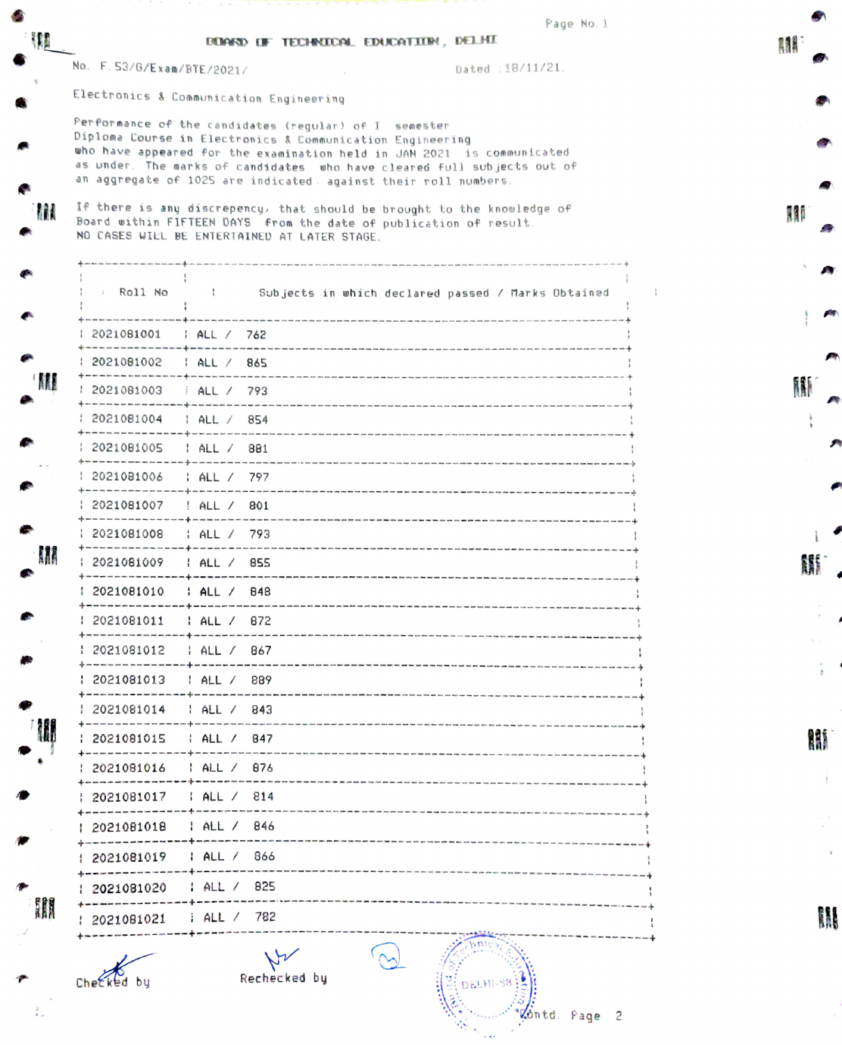|            |                              | <b>REAKED OF TECHNICAL EDUCATION, DELHI</b>                                                                                                                                                                                                                                                                                                                                                                                                                                                                                               | Page No. 1                                                     |            |
|------------|------------------------------|-------------------------------------------------------------------------------------------------------------------------------------------------------------------------------------------------------------------------------------------------------------------------------------------------------------------------------------------------------------------------------------------------------------------------------------------------------------------------------------------------------------------------------------------|----------------------------------------------------------------|------------|
|            | No. F. 53/6/Exam/BTE/2021/   |                                                                                                                                                                                                                                                                                                                                                                                                                                                                                                                                           | Dated : 18/11/21.                                              | <b>RAK</b> |
|            |                              | Electronics & Communication Engineering                                                                                                                                                                                                                                                                                                                                                                                                                                                                                                   |                                                                |            |
| <b>ALL</b> |                              | Performance of the candidates (regular) of I semester<br>Diploma Course in Electronics & Communication Engineering<br>who have appeared for the examination held in JAN 2021 is communicated<br>as under. The marks of candidates who have cleared full subjects out of<br>an aggregate of 1025 are indicated against their roll numbers.<br>If there is any discrepency, that should be brought to the knowledge of<br>Board within FIFTEEN DAYS from the date of publication of result.<br>NO CASES WILL BE ENTERTAINED AT LATER STAGE. |                                                                | 111        |
|            |                              |                                                                                                                                                                                                                                                                                                                                                                                                                                                                                                                                           | : Roll No : Subjects in which declared passed / Marks Obtained |            |
|            | : 2021081001   : ALL /   762 |                                                                                                                                                                                                                                                                                                                                                                                                                                                                                                                                           |                                                                |            |
|            | 2021081002   ALL / 865       |                                                                                                                                                                                                                                                                                                                                                                                                                                                                                                                                           |                                                                |            |
| M          | 2021081003 : ALL / 793       |                                                                                                                                                                                                                                                                                                                                                                                                                                                                                                                                           |                                                                | W          |
|            |                              |                                                                                                                                                                                                                                                                                                                                                                                                                                                                                                                                           |                                                                |            |
|            | : 2021081005   : ALL /   881 |                                                                                                                                                                                                                                                                                                                                                                                                                                                                                                                                           |                                                                |            |
|            | 2021081006   ALL / 797       |                                                                                                                                                                                                                                                                                                                                                                                                                                                                                                                                           |                                                                |            |
|            | 2021081007   ALL / 801       |                                                                                                                                                                                                                                                                                                                                                                                                                                                                                                                                           |                                                                |            |
|            | : 2021081008                 | HALL / 793                                                                                                                                                                                                                                                                                                                                                                                                                                                                                                                                |                                                                |            |
| M          | 2021081009   ALL / 855       |                                                                                                                                                                                                                                                                                                                                                                                                                                                                                                                                           |                                                                |            |
|            | 2021081010   ALL / 848       |                                                                                                                                                                                                                                                                                                                                                                                                                                                                                                                                           |                                                                |            |
|            | 2021081011                   | HALL / 872                                                                                                                                                                                                                                                                                                                                                                                                                                                                                                                                |                                                                |            |
|            | 2021081012<br>------------   | HALL / 867                                                                                                                                                                                                                                                                                                                                                                                                                                                                                                                                |                                                                |            |
|            | 2021081013                   | HALL / 889                                                                                                                                                                                                                                                                                                                                                                                                                                                                                                                                |                                                                |            |
|            | : 2021081014                 | ALL / 843                                                                                                                                                                                                                                                                                                                                                                                                                                                                                                                                 |                                                                |            |
|            | 2021081015                   | HALL / 847                                                                                                                                                                                                                                                                                                                                                                                                                                                                                                                                |                                                                |            |
|            | 2021081016                   | : ALL / 876                                                                                                                                                                                                                                                                                                                                                                                                                                                                                                                               |                                                                |            |
|            | 2021081017                   | HALL / 814                                                                                                                                                                                                                                                                                                                                                                                                                                                                                                                                |                                                                |            |
|            | 2021081018                   | $1$ ALL $/$ 846                                                                                                                                                                                                                                                                                                                                                                                                                                                                                                                           |                                                                |            |
|            | 2021081019                   | : ALL / 866                                                                                                                                                                                                                                                                                                                                                                                                                                                                                                                               |                                                                |            |
|            | +------------<br>2021081020  | HAL / 825                                                                                                                                                                                                                                                                                                                                                                                                                                                                                                                                 |                                                                |            |
| I          |                              |                                                                                                                                                                                                                                                                                                                                                                                                                                                                                                                                           |                                                                |            |

Chetked by Rechecked by  $\mathbb{R}$  DELHI-S8

 $\frac{p}{2}$ 

Vontd. Page 2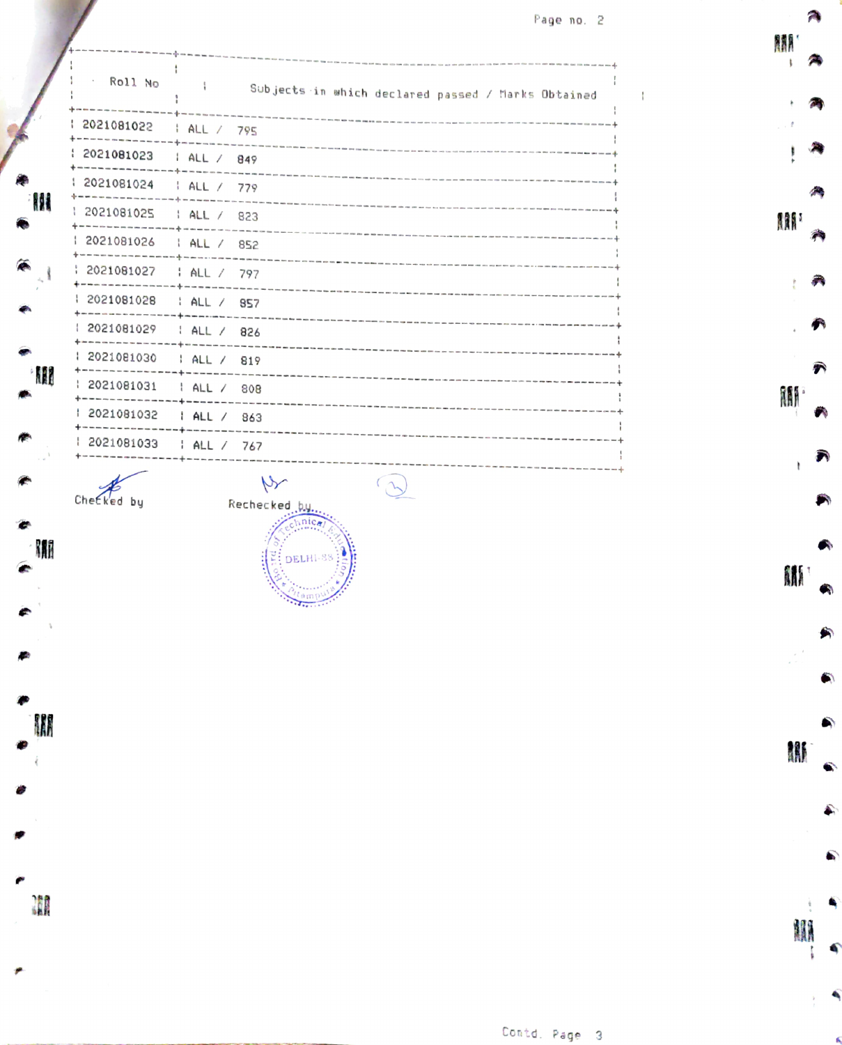Page no. 2

**AAA** 

A

 $\widehat{\bm{r}}$ 

Ä

₹ ï

 $\bullet$ 

角

 $\bullet$ 

**AN** 

M

**illi** 

A

M  $\mathbf{t}$ 

|   | Roll No      | Subjects in which declared passed / Marks Obtained                                                                                                     |
|---|--------------|--------------------------------------------------------------------------------------------------------------------------------------------------------|
|   | 2021081022   | ALL / 795                                                                                                                                              |
| W | 2021081023   | HALL / 849                                                                                                                                             |
|   | 2021081024   | HALL / 779                                                                                                                                             |
|   | 2021081025   | Then there was done two work can won controls now your control was more during them your controls your controls that paid your controls.<br>HALL / 823 |
|   | 2021081026   | ALL / 852                                                                                                                                              |
|   | 2021081027   | HAL / 797                                                                                                                                              |
|   | 2021081028   | : ALL / 857                                                                                                                                            |
| W | 2021081029   | ALL / 826                                                                                                                                              |
|   | 1 2021081030 | ALL / 819                                                                                                                                              |
|   | 2021081031   | ALL / 808                                                                                                                                              |
|   | 2021081032   | ALL / 863                                                                                                                                              |
|   | 2021081033   | HALL / 767                                                                                                                                             |

M

II

廥

Checked by Rechecked.by

DELHI-8

.